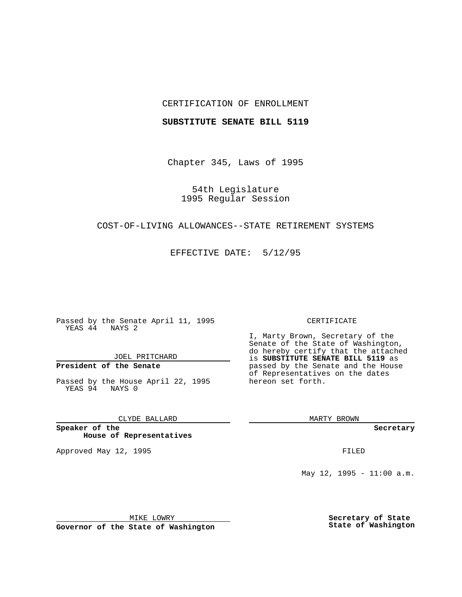### CERTIFICATION OF ENROLLMENT

#### **SUBSTITUTE SENATE BILL 5119**

Chapter 345, Laws of 1995

54th Legislature 1995 Regular Session

## COST-OF-LIVING ALLOWANCES--STATE RETIREMENT SYSTEMS

EFFECTIVE DATE: 5/12/95

Passed by the Senate April 11, 1995 YEAS 44 NAYS 2

JOEL PRITCHARD

# **President of the Senate**

Passed by the House April 22, 1995 YEAS 94 NAYS 0

CLYDE BALLARD

**Speaker of the House of Representatives**

Approved May 12, 1995 **FILED** 

#### CERTIFICATE

I, Marty Brown, Secretary of the Senate of the State of Washington, do hereby certify that the attached is **SUBSTITUTE SENATE BILL 5119** as passed by the Senate and the House of Representatives on the dates hereon set forth.

MARTY BROWN

**Secretary**

May 12, 1995 - 11:00 a.m.

MIKE LOWRY

**Governor of the State of Washington**

**Secretary of State State of Washington**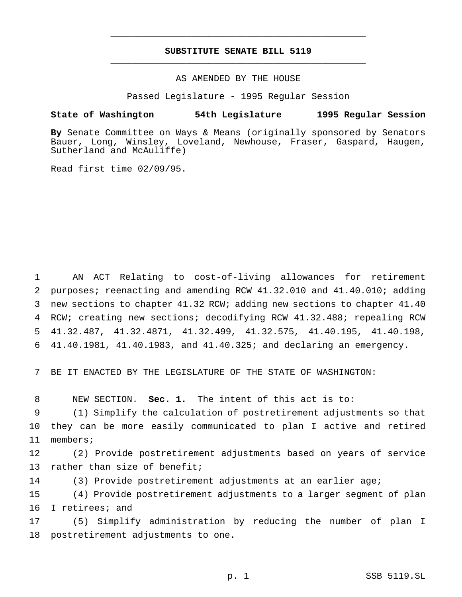# **SUBSTITUTE SENATE BILL 5119** \_\_\_\_\_\_\_\_\_\_\_\_\_\_\_\_\_\_\_\_\_\_\_\_\_\_\_\_\_\_\_\_\_\_\_\_\_\_\_\_\_\_\_\_\_\_\_

\_\_\_\_\_\_\_\_\_\_\_\_\_\_\_\_\_\_\_\_\_\_\_\_\_\_\_\_\_\_\_\_\_\_\_\_\_\_\_\_\_\_\_\_\_\_\_

## AS AMENDED BY THE HOUSE

Passed Legislature - 1995 Regular Session

#### **State of Washington 54th Legislature 1995 Regular Session**

**By** Senate Committee on Ways & Means (originally sponsored by Senators Bauer, Long, Winsley, Loveland, Newhouse, Fraser, Gaspard, Haugen, Sutherland and McAuliffe)

Read first time 02/09/95.

 AN ACT Relating to cost-of-living allowances for retirement purposes; reenacting and amending RCW 41.32.010 and 41.40.010; adding new sections to chapter 41.32 RCW; adding new sections to chapter 41.40 RCW; creating new sections; decodifying RCW 41.32.488; repealing RCW 41.32.487, 41.32.4871, 41.32.499, 41.32.575, 41.40.195, 41.40.198, 41.40.1981, 41.40.1983, and 41.40.325; and declaring an emergency.

7 BE IT ENACTED BY THE LEGISLATURE OF THE STATE OF WASHINGTON:

8 NEW SECTION. **Sec. 1.** The intent of this act is to:

9 (1) Simplify the calculation of postretirement adjustments so that 10 they can be more easily communicated to plan I active and retired 11 members;

12 (2) Provide postretirement adjustments based on years of service 13 rather than size of benefit;

14 (3) Provide postretirement adjustments at an earlier age;

15 (4) Provide postretirement adjustments to a larger segment of plan 16 I retirees; and

17 (5) Simplify administration by reducing the number of plan I 18 postretirement adjustments to one.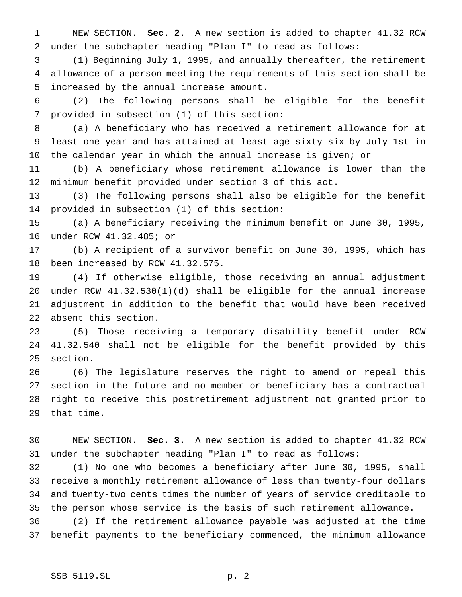NEW SECTION. **Sec. 2.** A new section is added to chapter 41.32 RCW under the subchapter heading "Plan I" to read as follows:

 (1) Beginning July 1, 1995, and annually thereafter, the retirement allowance of a person meeting the requirements of this section shall be increased by the annual increase amount.

 (2) The following persons shall be eligible for the benefit provided in subsection (1) of this section:

 (a) A beneficiary who has received a retirement allowance for at least one year and has attained at least age sixty-six by July 1st in the calendar year in which the annual increase is given; or

 (b) A beneficiary whose retirement allowance is lower than the minimum benefit provided under section 3 of this act.

 (3) The following persons shall also be eligible for the benefit provided in subsection (1) of this section:

 (a) A beneficiary receiving the minimum benefit on June 30, 1995, under RCW 41.32.485; or

 (b) A recipient of a survivor benefit on June 30, 1995, which has been increased by RCW 41.32.575.

 (4) If otherwise eligible, those receiving an annual adjustment under RCW 41.32.530(1)(d) shall be eligible for the annual increase adjustment in addition to the benefit that would have been received absent this section.

 (5) Those receiving a temporary disability benefit under RCW 41.32.540 shall not be eligible for the benefit provided by this section.

 (6) The legislature reserves the right to amend or repeal this section in the future and no member or beneficiary has a contractual right to receive this postretirement adjustment not granted prior to that time.

 NEW SECTION. **Sec. 3.** A new section is added to chapter 41.32 RCW under the subchapter heading "Plan I" to read as follows:

 (1) No one who becomes a beneficiary after June 30, 1995, shall receive a monthly retirement allowance of less than twenty-four dollars and twenty-two cents times the number of years of service creditable to the person whose service is the basis of such retirement allowance.

 (2) If the retirement allowance payable was adjusted at the time benefit payments to the beneficiary commenced, the minimum allowance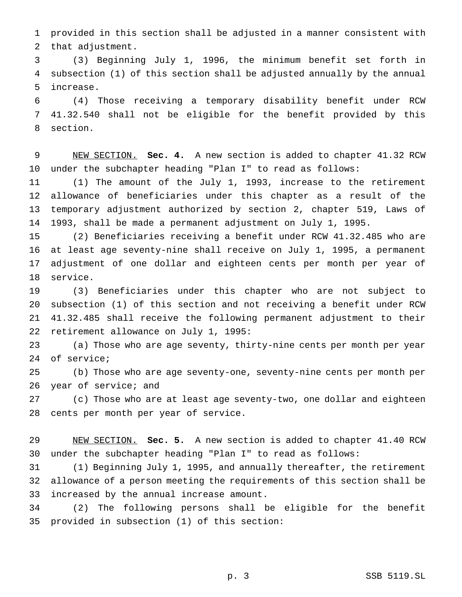provided in this section shall be adjusted in a manner consistent with that adjustment.

 (3) Beginning July 1, 1996, the minimum benefit set forth in subsection (1) of this section shall be adjusted annually by the annual increase.

 (4) Those receiving a temporary disability benefit under RCW 41.32.540 shall not be eligible for the benefit provided by this section.

 NEW SECTION. **Sec. 4.** A new section is added to chapter 41.32 RCW under the subchapter heading "Plan I" to read as follows:

 (1) The amount of the July 1, 1993, increase to the retirement allowance of beneficiaries under this chapter as a result of the temporary adjustment authorized by section 2, chapter 519, Laws of 1993, shall be made a permanent adjustment on July 1, 1995.

 (2) Beneficiaries receiving a benefit under RCW 41.32.485 who are at least age seventy-nine shall receive on July 1, 1995, a permanent adjustment of one dollar and eighteen cents per month per year of service.

 (3) Beneficiaries under this chapter who are not subject to subsection (1) of this section and not receiving a benefit under RCW 41.32.485 shall receive the following permanent adjustment to their retirement allowance on July 1, 1995:

 (a) Those who are age seventy, thirty-nine cents per month per year of service;

 (b) Those who are age seventy-one, seventy-nine cents per month per 26 year of service; and

 (c) Those who are at least age seventy-two, one dollar and eighteen cents per month per year of service.

 NEW SECTION. **Sec. 5.** A new section is added to chapter 41.40 RCW under the subchapter heading "Plan I" to read as follows:

 (1) Beginning July 1, 1995, and annually thereafter, the retirement allowance of a person meeting the requirements of this section shall be increased by the annual increase amount.

 (2) The following persons shall be eligible for the benefit provided in subsection (1) of this section: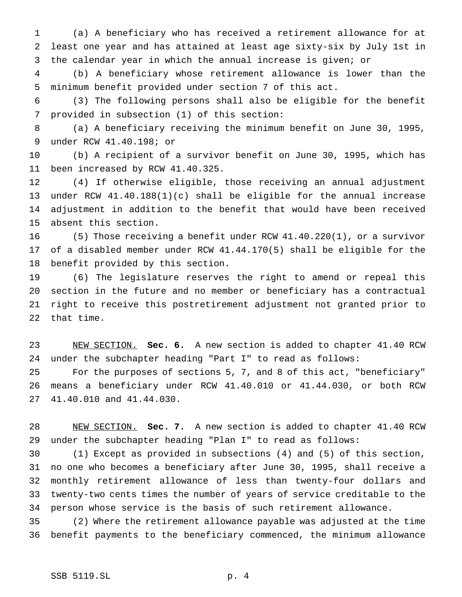(a) A beneficiary who has received a retirement allowance for at least one year and has attained at least age sixty-six by July 1st in the calendar year in which the annual increase is given; or

 (b) A beneficiary whose retirement allowance is lower than the minimum benefit provided under section 7 of this act.

 (3) The following persons shall also be eligible for the benefit provided in subsection (1) of this section:

 (a) A beneficiary receiving the minimum benefit on June 30, 1995, under RCW 41.40.198; or

 (b) A recipient of a survivor benefit on June 30, 1995, which has been increased by RCW 41.40.325.

 (4) If otherwise eligible, those receiving an annual adjustment under RCW 41.40.188(1)(c) shall be eligible for the annual increase adjustment in addition to the benefit that would have been received absent this section.

 (5) Those receiving a benefit under RCW 41.40.220(1), or a survivor of a disabled member under RCW 41.44.170(5) shall be eligible for the benefit provided by this section.

 (6) The legislature reserves the right to amend or repeal this section in the future and no member or beneficiary has a contractual right to receive this postretirement adjustment not granted prior to that time.

 NEW SECTION. **Sec. 6.** A new section is added to chapter 41.40 RCW under the subchapter heading "Part I" to read as follows:

 For the purposes of sections 5, 7, and 8 of this act, "beneficiary" means a beneficiary under RCW 41.40.010 or 41.44.030, or both RCW 41.40.010 and 41.44.030.

 NEW SECTION. **Sec. 7.** A new section is added to chapter 41.40 RCW under the subchapter heading "Plan I" to read as follows:

 (1) Except as provided in subsections (4) and (5) of this section, no one who becomes a beneficiary after June 30, 1995, shall receive a monthly retirement allowance of less than twenty-four dollars and twenty-two cents times the number of years of service creditable to the person whose service is the basis of such retirement allowance.

 (2) Where the retirement allowance payable was adjusted at the time benefit payments to the beneficiary commenced, the minimum allowance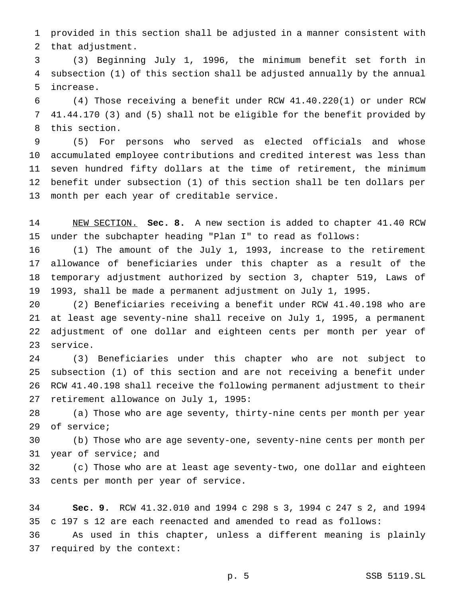provided in this section shall be adjusted in a manner consistent with that adjustment.

 (3) Beginning July 1, 1996, the minimum benefit set forth in subsection (1) of this section shall be adjusted annually by the annual increase.

 (4) Those receiving a benefit under RCW 41.40.220(1) or under RCW 41.44.170 (3) and (5) shall not be eligible for the benefit provided by this section.

 (5) For persons who served as elected officials and whose accumulated employee contributions and credited interest was less than seven hundred fifty dollars at the time of retirement, the minimum benefit under subsection (1) of this section shall be ten dollars per month per each year of creditable service.

 NEW SECTION. **Sec. 8.** A new section is added to chapter 41.40 RCW under the subchapter heading "Plan I" to read as follows:

 (1) The amount of the July 1, 1993, increase to the retirement allowance of beneficiaries under this chapter as a result of the temporary adjustment authorized by section 3, chapter 519, Laws of 1993, shall be made a permanent adjustment on July 1, 1995.

 (2) Beneficiaries receiving a benefit under RCW 41.40.198 who are at least age seventy-nine shall receive on July 1, 1995, a permanent adjustment of one dollar and eighteen cents per month per year of service.

 (3) Beneficiaries under this chapter who are not subject to subsection (1) of this section and are not receiving a benefit under RCW 41.40.198 shall receive the following permanent adjustment to their retirement allowance on July 1, 1995:

 (a) Those who are age seventy, thirty-nine cents per month per year of service;

 (b) Those who are age seventy-one, seventy-nine cents per month per year of service; and

 (c) Those who are at least age seventy-two, one dollar and eighteen cents per month per year of service.

 **Sec. 9.** RCW 41.32.010 and 1994 c 298 s 3, 1994 c 247 s 2, and 1994 c 197 s 12 are each reenacted and amended to read as follows:

 As used in this chapter, unless a different meaning is plainly required by the context: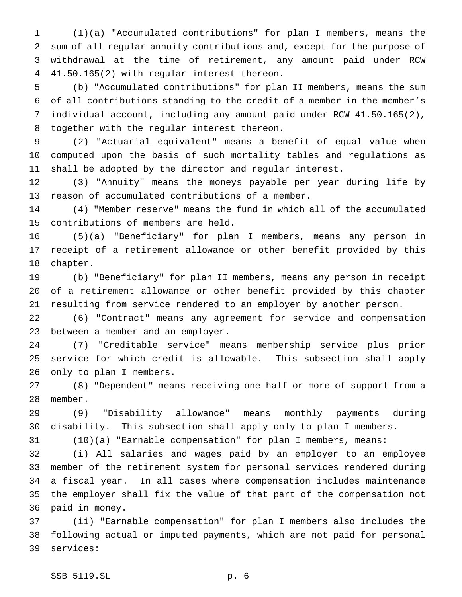(1)(a) "Accumulated contributions" for plan I members, means the sum of all regular annuity contributions and, except for the purpose of withdrawal at the time of retirement, any amount paid under RCW 41.50.165(2) with regular interest thereon.

 (b) "Accumulated contributions" for plan II members, means the sum of all contributions standing to the credit of a member in the member's individual account, including any amount paid under RCW 41.50.165(2), together with the regular interest thereon.

 (2) "Actuarial equivalent" means a benefit of equal value when computed upon the basis of such mortality tables and regulations as shall be adopted by the director and regular interest.

 (3) "Annuity" means the moneys payable per year during life by reason of accumulated contributions of a member.

 (4) "Member reserve" means the fund in which all of the accumulated contributions of members are held.

 (5)(a) "Beneficiary" for plan I members, means any person in receipt of a retirement allowance or other benefit provided by this chapter.

 (b) "Beneficiary" for plan II members, means any person in receipt of a retirement allowance or other benefit provided by this chapter resulting from service rendered to an employer by another person.

 (6) "Contract" means any agreement for service and compensation between a member and an employer.

 (7) "Creditable service" means membership service plus prior service for which credit is allowable. This subsection shall apply only to plan I members.

 (8) "Dependent" means receiving one-half or more of support from a member.

 (9) "Disability allowance" means monthly payments during disability. This subsection shall apply only to plan I members.

(10)(a) "Earnable compensation" for plan I members, means:

 (i) All salaries and wages paid by an employer to an employee member of the retirement system for personal services rendered during a fiscal year. In all cases where compensation includes maintenance the employer shall fix the value of that part of the compensation not paid in money.

 (ii) "Earnable compensation" for plan I members also includes the following actual or imputed payments, which are not paid for personal services: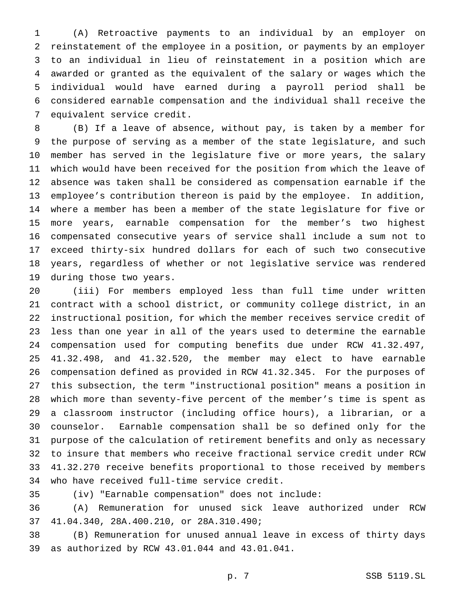(A) Retroactive payments to an individual by an employer on reinstatement of the employee in a position, or payments by an employer to an individual in lieu of reinstatement in a position which are awarded or granted as the equivalent of the salary or wages which the individual would have earned during a payroll period shall be considered earnable compensation and the individual shall receive the equivalent service credit.

 (B) If a leave of absence, without pay, is taken by a member for the purpose of serving as a member of the state legislature, and such member has served in the legislature five or more years, the salary which would have been received for the position from which the leave of absence was taken shall be considered as compensation earnable if the employee's contribution thereon is paid by the employee. In addition, where a member has been a member of the state legislature for five or more years, earnable compensation for the member's two highest compensated consecutive years of service shall include a sum not to exceed thirty-six hundred dollars for each of such two consecutive years, regardless of whether or not legislative service was rendered during those two years.

 (iii) For members employed less than full time under written contract with a school district, or community college district, in an instructional position, for which the member receives service credit of less than one year in all of the years used to determine the earnable compensation used for computing benefits due under RCW 41.32.497, 41.32.498, and 41.32.520, the member may elect to have earnable compensation defined as provided in RCW 41.32.345. For the purposes of this subsection, the term "instructional position" means a position in which more than seventy-five percent of the member's time is spent as a classroom instructor (including office hours), a librarian, or a counselor. Earnable compensation shall be so defined only for the purpose of the calculation of retirement benefits and only as necessary to insure that members who receive fractional service credit under RCW 41.32.270 receive benefits proportional to those received by members who have received full-time service credit.

(iv) "Earnable compensation" does not include:

 (A) Remuneration for unused sick leave authorized under RCW 41.04.340, 28A.400.210, or 28A.310.490;

 (B) Remuneration for unused annual leave in excess of thirty days as authorized by RCW 43.01.044 and 43.01.041.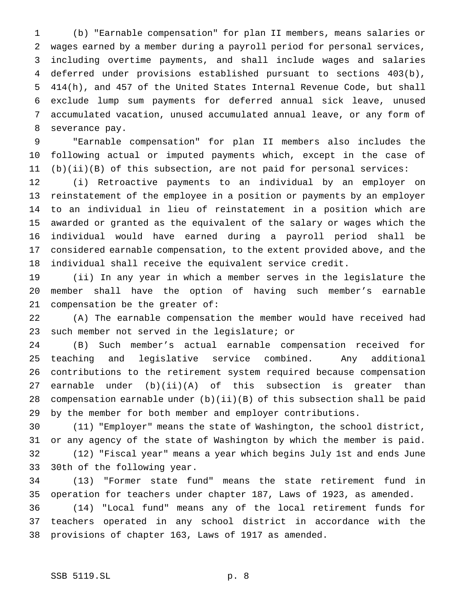(b) "Earnable compensation" for plan II members, means salaries or wages earned by a member during a payroll period for personal services, including overtime payments, and shall include wages and salaries deferred under provisions established pursuant to sections 403(b), 414(h), and 457 of the United States Internal Revenue Code, but shall exclude lump sum payments for deferred annual sick leave, unused accumulated vacation, unused accumulated annual leave, or any form of severance pay.

 "Earnable compensation" for plan II members also includes the following actual or imputed payments which, except in the case of (b)(ii)(B) of this subsection, are not paid for personal services:

 (i) Retroactive payments to an individual by an employer on reinstatement of the employee in a position or payments by an employer to an individual in lieu of reinstatement in a position which are awarded or granted as the equivalent of the salary or wages which the individual would have earned during a payroll period shall be considered earnable compensation, to the extent provided above, and the individual shall receive the equivalent service credit.

 (ii) In any year in which a member serves in the legislature the member shall have the option of having such member's earnable compensation be the greater of:

 (A) The earnable compensation the member would have received had such member not served in the legislature; or

 (B) Such member's actual earnable compensation received for teaching and legislative service combined. Any additional contributions to the retirement system required because compensation 27 earnable under  $(b)(ii)(A)$  of this subsection is greater than compensation earnable under (b)(ii)(B) of this subsection shall be paid by the member for both member and employer contributions.

 (11) "Employer" means the state of Washington, the school district, or any agency of the state of Washington by which the member is paid. (12) "Fiscal year" means a year which begins July 1st and ends June 30th of the following year.

 (13) "Former state fund" means the state retirement fund in operation for teachers under chapter 187, Laws of 1923, as amended. (14) "Local fund" means any of the local retirement funds for teachers operated in any school district in accordance with the provisions of chapter 163, Laws of 1917 as amended.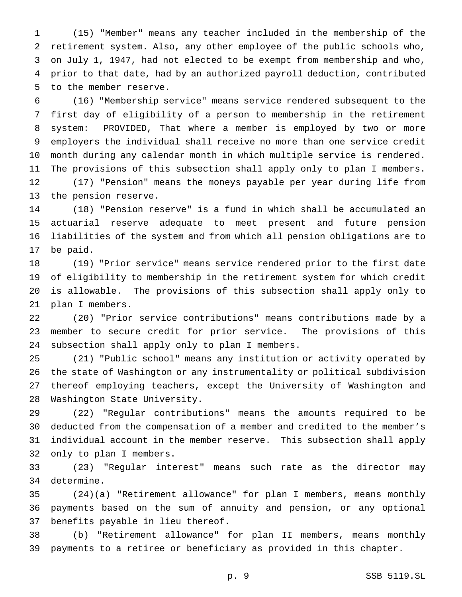(15) "Member" means any teacher included in the membership of the retirement system. Also, any other employee of the public schools who, on July 1, 1947, had not elected to be exempt from membership and who, prior to that date, had by an authorized payroll deduction, contributed to the member reserve.

 (16) "Membership service" means service rendered subsequent to the first day of eligibility of a person to membership in the retirement system: PROVIDED, That where a member is employed by two or more employers the individual shall receive no more than one service credit month during any calendar month in which multiple service is rendered. The provisions of this subsection shall apply only to plan I members. (17) "Pension" means the moneys payable per year during life from the pension reserve.

 (18) "Pension reserve" is a fund in which shall be accumulated an actuarial reserve adequate to meet present and future pension liabilities of the system and from which all pension obligations are to be paid.

 (19) "Prior service" means service rendered prior to the first date of eligibility to membership in the retirement system for which credit is allowable. The provisions of this subsection shall apply only to plan I members.

 (20) "Prior service contributions" means contributions made by a member to secure credit for prior service. The provisions of this subsection shall apply only to plan I members.

 (21) "Public school" means any institution or activity operated by the state of Washington or any instrumentality or political subdivision thereof employing teachers, except the University of Washington and Washington State University.

 (22) "Regular contributions" means the amounts required to be deducted from the compensation of a member and credited to the member's individual account in the member reserve. This subsection shall apply only to plan I members.

 (23) "Regular interest" means such rate as the director may determine.

 (24)(a) "Retirement allowance" for plan I members, means monthly payments based on the sum of annuity and pension, or any optional benefits payable in lieu thereof.

 (b) "Retirement allowance" for plan II members, means monthly payments to a retiree or beneficiary as provided in this chapter.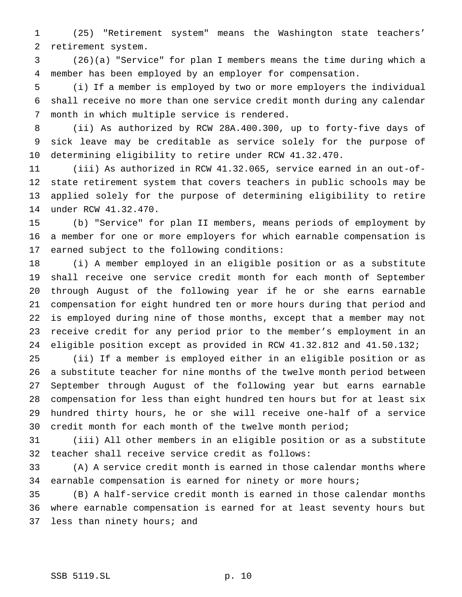(25) "Retirement system" means the Washington state teachers' retirement system.

 (26)(a) "Service" for plan I members means the time during which a member has been employed by an employer for compensation.

 (i) If a member is employed by two or more employers the individual shall receive no more than one service credit month during any calendar month in which multiple service is rendered.

 (ii) As authorized by RCW 28A.400.300, up to forty-five days of sick leave may be creditable as service solely for the purpose of determining eligibility to retire under RCW 41.32.470.

 (iii) As authorized in RCW 41.32.065, service earned in an out-of- state retirement system that covers teachers in public schools may be applied solely for the purpose of determining eligibility to retire under RCW 41.32.470.

 (b) "Service" for plan II members, means periods of employment by a member for one or more employers for which earnable compensation is earned subject to the following conditions:

 (i) A member employed in an eligible position or as a substitute shall receive one service credit month for each month of September through August of the following year if he or she earns earnable compensation for eight hundred ten or more hours during that period and is employed during nine of those months, except that a member may not receive credit for any period prior to the member's employment in an eligible position except as provided in RCW 41.32.812 and 41.50.132;

 (ii) If a member is employed either in an eligible position or as a substitute teacher for nine months of the twelve month period between September through August of the following year but earns earnable compensation for less than eight hundred ten hours but for at least six hundred thirty hours, he or she will receive one-half of a service credit month for each month of the twelve month period;

 (iii) All other members in an eligible position or as a substitute teacher shall receive service credit as follows:

 (A) A service credit month is earned in those calendar months where 34 earnable compensation is earned for ninety or more hours;

 (B) A half-service credit month is earned in those calendar months where earnable compensation is earned for at least seventy hours but 37 less than ninety hours; and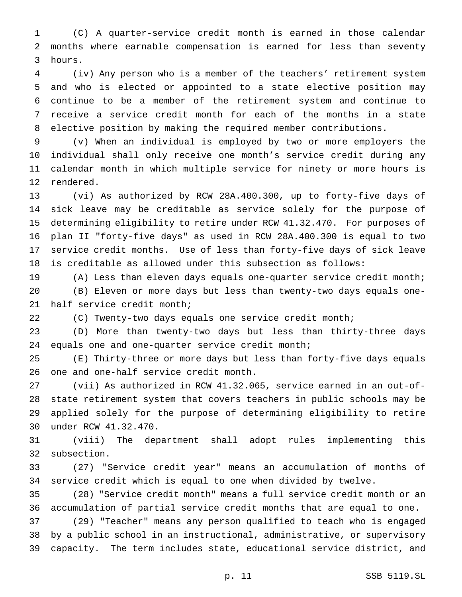(C) A quarter-service credit month is earned in those calendar months where earnable compensation is earned for less than seventy hours.

 (iv) Any person who is a member of the teachers' retirement system and who is elected or appointed to a state elective position may continue to be a member of the retirement system and continue to receive a service credit month for each of the months in a state elective position by making the required member contributions.

 (v) When an individual is employed by two or more employers the individual shall only receive one month's service credit during any calendar month in which multiple service for ninety or more hours is rendered.

 (vi) As authorized by RCW 28A.400.300, up to forty-five days of sick leave may be creditable as service solely for the purpose of determining eligibility to retire under RCW 41.32.470. For purposes of plan II "forty-five days" as used in RCW 28A.400.300 is equal to two service credit months. Use of less than forty-five days of sick leave is creditable as allowed under this subsection as follows:

(A) Less than eleven days equals one-quarter service credit month;

 (B) Eleven or more days but less than twenty-two days equals one-half service credit month;

(C) Twenty-two days equals one service credit month;

 (D) More than twenty-two days but less than thirty-three days equals one and one-quarter service credit month;

 (E) Thirty-three or more days but less than forty-five days equals one and one-half service credit month.

 (vii) As authorized in RCW 41.32.065, service earned in an out-of- state retirement system that covers teachers in public schools may be applied solely for the purpose of determining eligibility to retire under RCW 41.32.470.

 (viii) The department shall adopt rules implementing this subsection.

 (27) "Service credit year" means an accumulation of months of service credit which is equal to one when divided by twelve.

 (28) "Service credit month" means a full service credit month or an accumulation of partial service credit months that are equal to one.

 (29) "Teacher" means any person qualified to teach who is engaged by a public school in an instructional, administrative, or supervisory capacity. The term includes state, educational service district, and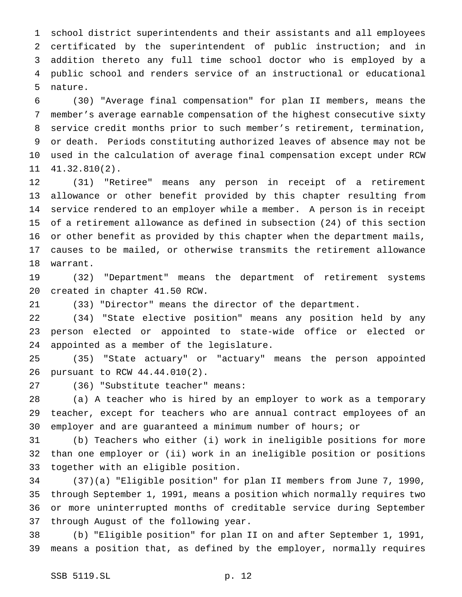school district superintendents and their assistants and all employees certificated by the superintendent of public instruction; and in addition thereto any full time school doctor who is employed by a public school and renders service of an instructional or educational nature.

 (30) "Average final compensation" for plan II members, means the member's average earnable compensation of the highest consecutive sixty service credit months prior to such member's retirement, termination, or death. Periods constituting authorized leaves of absence may not be used in the calculation of average final compensation except under RCW 41.32.810(2).

 (31) "Retiree" means any person in receipt of a retirement allowance or other benefit provided by this chapter resulting from service rendered to an employer while a member. A person is in receipt of a retirement allowance as defined in subsection (24) of this section or other benefit as provided by this chapter when the department mails, causes to be mailed, or otherwise transmits the retirement allowance warrant.

 (32) "Department" means the department of retirement systems created in chapter 41.50 RCW.

(33) "Director" means the director of the department.

 (34) "State elective position" means any position held by any person elected or appointed to state-wide office or elected or appointed as a member of the legislature.

 (35) "State actuary" or "actuary" means the person appointed pursuant to RCW 44.44.010(2).

(36) "Substitute teacher" means:

 (a) A teacher who is hired by an employer to work as a temporary teacher, except for teachers who are annual contract employees of an employer and are guaranteed a minimum number of hours; or

 (b) Teachers who either (i) work in ineligible positions for more than one employer or (ii) work in an ineligible position or positions together with an eligible position.

 (37)(a) "Eligible position" for plan II members from June 7, 1990, through September 1, 1991, means a position which normally requires two or more uninterrupted months of creditable service during September through August of the following year.

 (b) "Eligible position" for plan II on and after September 1, 1991, means a position that, as defined by the employer, normally requires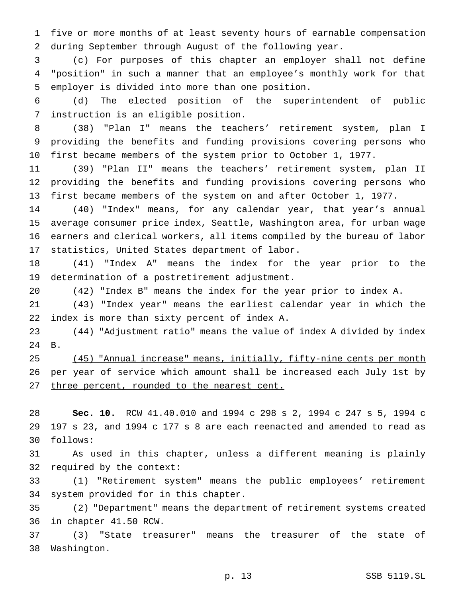five or more months of at least seventy hours of earnable compensation during September through August of the following year.

 (c) For purposes of this chapter an employer shall not define "position" in such a manner that an employee's monthly work for that employer is divided into more than one position.

 (d) The elected position of the superintendent of public instruction is an eligible position.

 (38) "Plan I" means the teachers' retirement system, plan I providing the benefits and funding provisions covering persons who first became members of the system prior to October 1, 1977.

 (39) "Plan II" means the teachers' retirement system, plan II providing the benefits and funding provisions covering persons who first became members of the system on and after October 1, 1977.

 (40) "Index" means, for any calendar year, that year's annual average consumer price index, Seattle, Washington area, for urban wage earners and clerical workers, all items compiled by the bureau of labor statistics, United States department of labor.

 (41) "Index A" means the index for the year prior to the determination of a postretirement adjustment.

(42) "Index B" means the index for the year prior to index A.

 (43) "Index year" means the earliest calendar year in which the index is more than sixty percent of index A.

 (44) "Adjustment ratio" means the value of index A divided by index B.

 (45) "Annual increase" means, initially, fifty-nine cents per month 26 per year of service which amount shall be increased each July 1st by 27 three percent, rounded to the nearest cent.

 **Sec. 10.** RCW 41.40.010 and 1994 c 298 s 2, 1994 c 247 s 5, 1994 c 197 s 23, and 1994 c 177 s 8 are each reenacted and amended to read as follows:

 As used in this chapter, unless a different meaning is plainly required by the context:

 (1) "Retirement system" means the public employees' retirement system provided for in this chapter.

 (2) "Department" means the department of retirement systems created in chapter 41.50 RCW.

 (3) "State treasurer" means the treasurer of the state of Washington.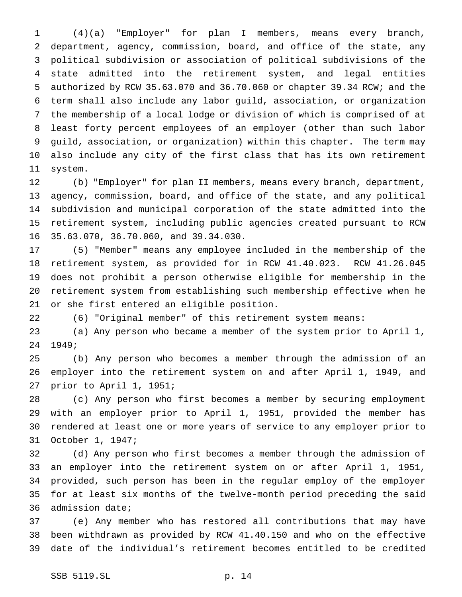(4)(a) "Employer" for plan I members, means every branch, department, agency, commission, board, and office of the state, any political subdivision or association of political subdivisions of the state admitted into the retirement system, and legal entities authorized by RCW 35.63.070 and 36.70.060 or chapter 39.34 RCW; and the term shall also include any labor guild, association, or organization the membership of a local lodge or division of which is comprised of at least forty percent employees of an employer (other than such labor guild, association, or organization) within this chapter. The term may also include any city of the first class that has its own retirement system.

 (b) "Employer" for plan II members, means every branch, department, agency, commission, board, and office of the state, and any political subdivision and municipal corporation of the state admitted into the retirement system, including public agencies created pursuant to RCW 35.63.070, 36.70.060, and 39.34.030.

 (5) "Member" means any employee included in the membership of the retirement system, as provided for in RCW 41.40.023. RCW 41.26.045 does not prohibit a person otherwise eligible for membership in the retirement system from establishing such membership effective when he or she first entered an eligible position.

(6) "Original member" of this retirement system means:

 (a) Any person who became a member of the system prior to April 1, 1949;

 (b) Any person who becomes a member through the admission of an employer into the retirement system on and after April 1, 1949, and prior to April 1, 1951;

 (c) Any person who first becomes a member by securing employment with an employer prior to April 1, 1951, provided the member has rendered at least one or more years of service to any employer prior to October 1, 1947;

 (d) Any person who first becomes a member through the admission of an employer into the retirement system on or after April 1, 1951, provided, such person has been in the regular employ of the employer for at least six months of the twelve-month period preceding the said admission date;

 (e) Any member who has restored all contributions that may have been withdrawn as provided by RCW 41.40.150 and who on the effective date of the individual's retirement becomes entitled to be credited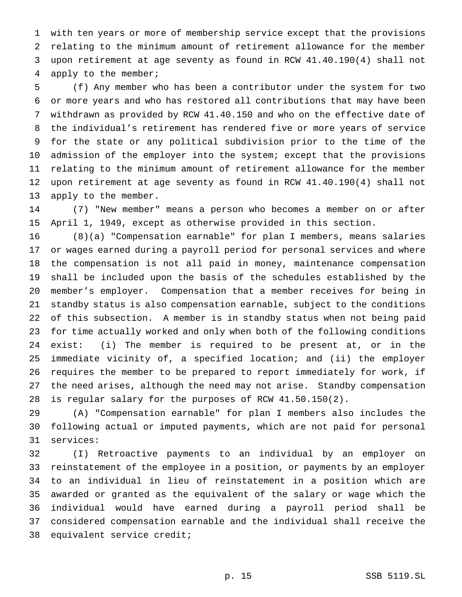with ten years or more of membership service except that the provisions relating to the minimum amount of retirement allowance for the member upon retirement at age seventy as found in RCW 41.40.190(4) shall not apply to the member;

 (f) Any member who has been a contributor under the system for two or more years and who has restored all contributions that may have been withdrawn as provided by RCW 41.40.150 and who on the effective date of the individual's retirement has rendered five or more years of service for the state or any political subdivision prior to the time of the admission of the employer into the system; except that the provisions relating to the minimum amount of retirement allowance for the member upon retirement at age seventy as found in RCW 41.40.190(4) shall not apply to the member.

 (7) "New member" means a person who becomes a member on or after April 1, 1949, except as otherwise provided in this section.

 (8)(a) "Compensation earnable" for plan I members, means salaries or wages earned during a payroll period for personal services and where the compensation is not all paid in money, maintenance compensation shall be included upon the basis of the schedules established by the member's employer. Compensation that a member receives for being in standby status is also compensation earnable, subject to the conditions of this subsection. A member is in standby status when not being paid for time actually worked and only when both of the following conditions exist: (i) The member is required to be present at, or in the immediate vicinity of, a specified location; and (ii) the employer requires the member to be prepared to report immediately for work, if the need arises, although the need may not arise. Standby compensation is regular salary for the purposes of RCW 41.50.150(2).

 (A) "Compensation earnable" for plan I members also includes the following actual or imputed payments, which are not paid for personal services:

 (I) Retroactive payments to an individual by an employer on reinstatement of the employee in a position, or payments by an employer to an individual in lieu of reinstatement in a position which are awarded or granted as the equivalent of the salary or wage which the individual would have earned during a payroll period shall be considered compensation earnable and the individual shall receive the equivalent service credit;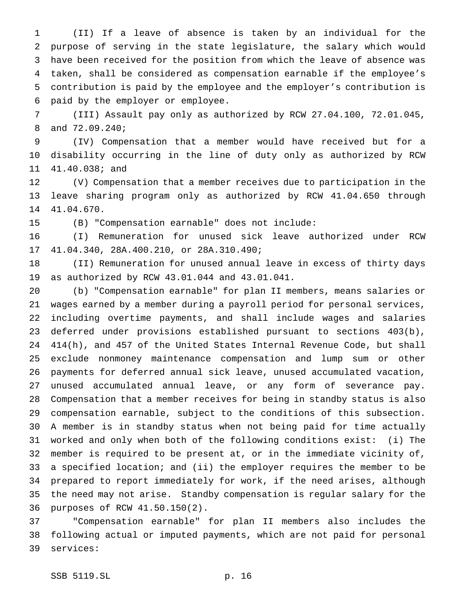(II) If a leave of absence is taken by an individual for the purpose of serving in the state legislature, the salary which would have been received for the position from which the leave of absence was taken, shall be considered as compensation earnable if the employee's contribution is paid by the employee and the employer's contribution is paid by the employer or employee.

 (III) Assault pay only as authorized by RCW 27.04.100, 72.01.045, and 72.09.240;

 (IV) Compensation that a member would have received but for a disability occurring in the line of duty only as authorized by RCW 41.40.038; and

 (V) Compensation that a member receives due to participation in the leave sharing program only as authorized by RCW 41.04.650 through 41.04.670.

(B) "Compensation earnable" does not include:

 (I) Remuneration for unused sick leave authorized under RCW 41.04.340, 28A.400.210, or 28A.310.490;

 (II) Remuneration for unused annual leave in excess of thirty days as authorized by RCW 43.01.044 and 43.01.041.

 (b) "Compensation earnable" for plan II members, means salaries or wages earned by a member during a payroll period for personal services, including overtime payments, and shall include wages and salaries deferred under provisions established pursuant to sections 403(b), 414(h), and 457 of the United States Internal Revenue Code, but shall exclude nonmoney maintenance compensation and lump sum or other payments for deferred annual sick leave, unused accumulated vacation, unused accumulated annual leave, or any form of severance pay. Compensation that a member receives for being in standby status is also compensation earnable, subject to the conditions of this subsection. A member is in standby status when not being paid for time actually worked and only when both of the following conditions exist: (i) The member is required to be present at, or in the immediate vicinity of, a specified location; and (ii) the employer requires the member to be prepared to report immediately for work, if the need arises, although the need may not arise. Standby compensation is regular salary for the purposes of RCW 41.50.150(2).

 "Compensation earnable" for plan II members also includes the following actual or imputed payments, which are not paid for personal services: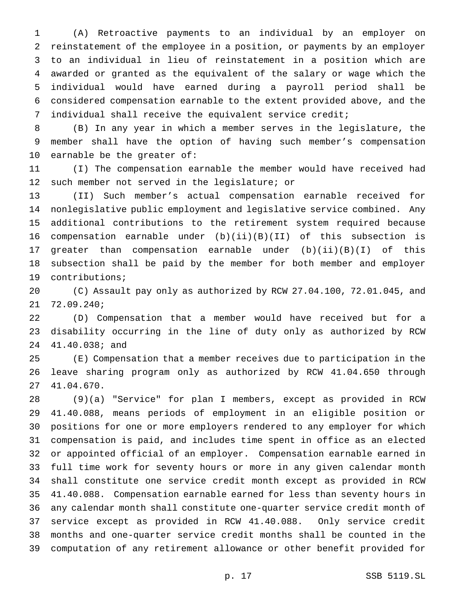(A) Retroactive payments to an individual by an employer on reinstatement of the employee in a position, or payments by an employer to an individual in lieu of reinstatement in a position which are awarded or granted as the equivalent of the salary or wage which the individual would have earned during a payroll period shall be considered compensation earnable to the extent provided above, and the individual shall receive the equivalent service credit;

 (B) In any year in which a member serves in the legislature, the member shall have the option of having such member's compensation earnable be the greater of:

 (I) The compensation earnable the member would have received had such member not served in the legislature; or

 (II) Such member's actual compensation earnable received for nonlegislative public employment and legislative service combined. Any additional contributions to the retirement system required because compensation earnable under (b)(ii)(B)(II) of this subsection is greater than compensation earnable under (b)(ii)(B)(I) of this subsection shall be paid by the member for both member and employer contributions;

 (C) Assault pay only as authorized by RCW 27.04.100, 72.01.045, and 72.09.240;

 (D) Compensation that a member would have received but for a disability occurring in the line of duty only as authorized by RCW 41.40.038; and

 (E) Compensation that a member receives due to participation in the leave sharing program only as authorized by RCW 41.04.650 through 41.04.670.

 (9)(a) "Service" for plan I members, except as provided in RCW 41.40.088, means periods of employment in an eligible position or positions for one or more employers rendered to any employer for which compensation is paid, and includes time spent in office as an elected or appointed official of an employer. Compensation earnable earned in full time work for seventy hours or more in any given calendar month shall constitute one service credit month except as provided in RCW 41.40.088. Compensation earnable earned for less than seventy hours in any calendar month shall constitute one-quarter service credit month of service except as provided in RCW 41.40.088. Only service credit months and one-quarter service credit months shall be counted in the computation of any retirement allowance or other benefit provided for

p. 17 SSB 5119.SL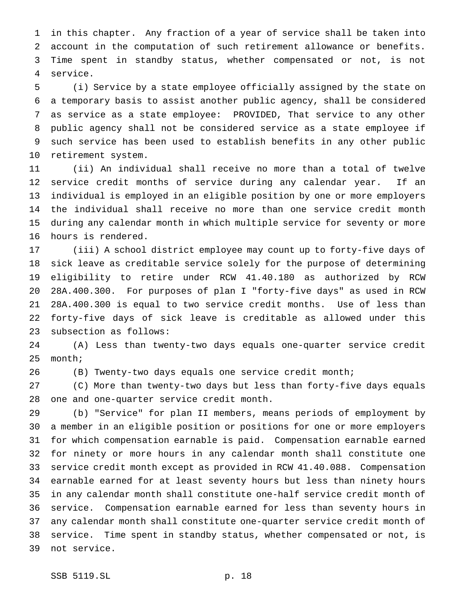in this chapter. Any fraction of a year of service shall be taken into account in the computation of such retirement allowance or benefits. Time spent in standby status, whether compensated or not, is not service.

 (i) Service by a state employee officially assigned by the state on a temporary basis to assist another public agency, shall be considered as service as a state employee: PROVIDED, That service to any other public agency shall not be considered service as a state employee if such service has been used to establish benefits in any other public retirement system.

 (ii) An individual shall receive no more than a total of twelve service credit months of service during any calendar year. If an individual is employed in an eligible position by one or more employers the individual shall receive no more than one service credit month during any calendar month in which multiple service for seventy or more hours is rendered.

 (iii) A school district employee may count up to forty-five days of sick leave as creditable service solely for the purpose of determining eligibility to retire under RCW 41.40.180 as authorized by RCW 28A.400.300. For purposes of plan I "forty-five days" as used in RCW 28A.400.300 is equal to two service credit months. Use of less than forty-five days of sick leave is creditable as allowed under this subsection as follows:

 (A) Less than twenty-two days equals one-quarter service credit month;

(B) Twenty-two days equals one service credit month;

 (C) More than twenty-two days but less than forty-five days equals one and one-quarter service credit month.

 (b) "Service" for plan II members, means periods of employment by a member in an eligible position or positions for one or more employers for which compensation earnable is paid. Compensation earnable earned for ninety or more hours in any calendar month shall constitute one service credit month except as provided in RCW 41.40.088. Compensation earnable earned for at least seventy hours but less than ninety hours in any calendar month shall constitute one-half service credit month of service. Compensation earnable earned for less than seventy hours in any calendar month shall constitute one-quarter service credit month of service. Time spent in standby status, whether compensated or not, is not service.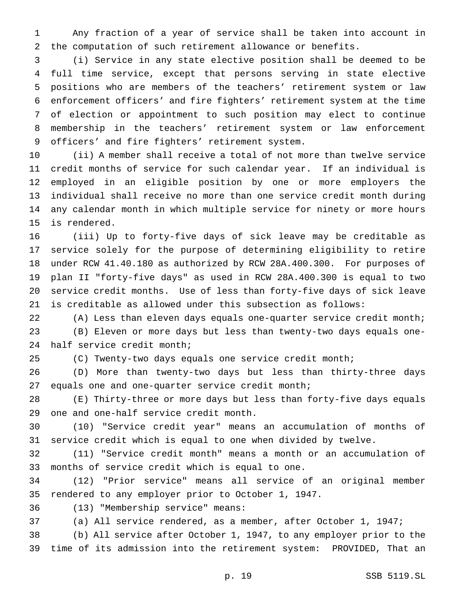Any fraction of a year of service shall be taken into account in the computation of such retirement allowance or benefits.

 (i) Service in any state elective position shall be deemed to be full time service, except that persons serving in state elective positions who are members of the teachers' retirement system or law enforcement officers' and fire fighters' retirement system at the time of election or appointment to such position may elect to continue membership in the teachers' retirement system or law enforcement officers' and fire fighters' retirement system.

 (ii) A member shall receive a total of not more than twelve service credit months of service for such calendar year. If an individual is employed in an eligible position by one or more employers the individual shall receive no more than one service credit month during any calendar month in which multiple service for ninety or more hours is rendered.

 (iii) Up to forty-five days of sick leave may be creditable as service solely for the purpose of determining eligibility to retire under RCW 41.40.180 as authorized by RCW 28A.400.300. For purposes of plan II "forty-five days" as used in RCW 28A.400.300 is equal to two service credit months. Use of less than forty-five days of sick leave is creditable as allowed under this subsection as follows:

 (A) Less than eleven days equals one-quarter service credit month; (B) Eleven or more days but less than twenty-two days equals one-half service credit month;

(C) Twenty-two days equals one service credit month;

 (D) More than twenty-two days but less than thirty-three days equals one and one-quarter service credit month;

 (E) Thirty-three or more days but less than forty-five days equals one and one-half service credit month.

 (10) "Service credit year" means an accumulation of months of service credit which is equal to one when divided by twelve.

 (11) "Service credit month" means a month or an accumulation of months of service credit which is equal to one.

 (12) "Prior service" means all service of an original member rendered to any employer prior to October 1, 1947.

(13) "Membership service" means:

(a) All service rendered, as a member, after October 1, 1947;

 (b) All service after October 1, 1947, to any employer prior to the time of its admission into the retirement system: PROVIDED, That an

p. 19 SSB 5119.SL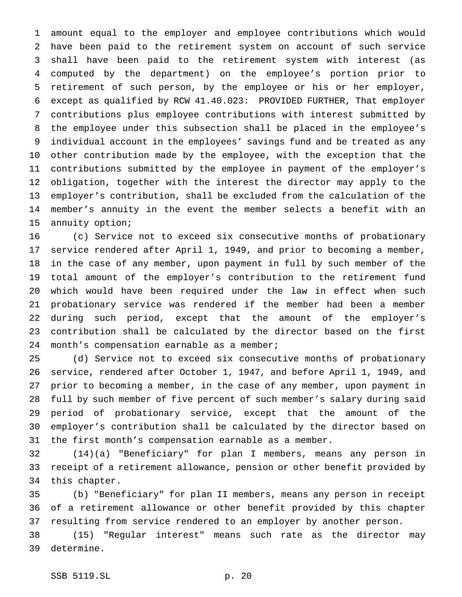amount equal to the employer and employee contributions which would have been paid to the retirement system on account of such service shall have been paid to the retirement system with interest (as computed by the department) on the employee's portion prior to retirement of such person, by the employee or his or her employer, except as qualified by RCW 41.40.023: PROVIDED FURTHER, That employer contributions plus employee contributions with interest submitted by the employee under this subsection shall be placed in the employee's individual account in the employees' savings fund and be treated as any other contribution made by the employee, with the exception that the contributions submitted by the employee in payment of the employer's obligation, together with the interest the director may apply to the employer's contribution, shall be excluded from the calculation of the member's annuity in the event the member selects a benefit with an annuity option;

 (c) Service not to exceed six consecutive months of probationary service rendered after April 1, 1949, and prior to becoming a member, in the case of any member, upon payment in full by such member of the total amount of the employer's contribution to the retirement fund which would have been required under the law in effect when such probationary service was rendered if the member had been a member during such period, except that the amount of the employer's contribution shall be calculated by the director based on the first 24 month's compensation earnable as a member;

 (d) Service not to exceed six consecutive months of probationary service, rendered after October 1, 1947, and before April 1, 1949, and prior to becoming a member, in the case of any member, upon payment in full by such member of five percent of such member's salary during said period of probationary service, except that the amount of the employer's contribution shall be calculated by the director based on the first month's compensation earnable as a member.

 (14)(a) "Beneficiary" for plan I members, means any person in receipt of a retirement allowance, pension or other benefit provided by this chapter.

 (b) "Beneficiary" for plan II members, means any person in receipt of a retirement allowance or other benefit provided by this chapter resulting from service rendered to an employer by another person.

 (15) "Regular interest" means such rate as the director may determine.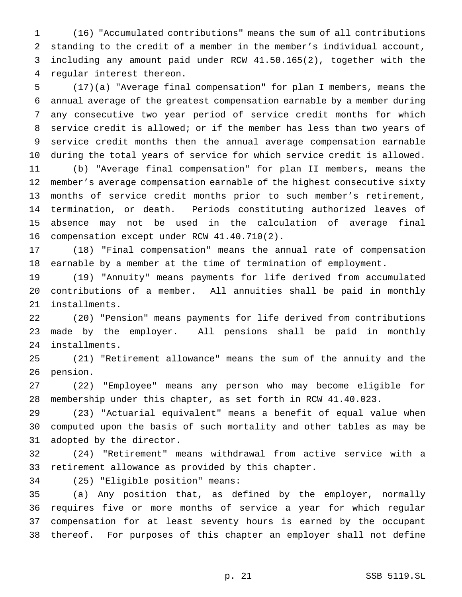(16) "Accumulated contributions" means the sum of all contributions standing to the credit of a member in the member's individual account, including any amount paid under RCW 41.50.165(2), together with the regular interest thereon.

 (17)(a) "Average final compensation" for plan I members, means the annual average of the greatest compensation earnable by a member during any consecutive two year period of service credit months for which service credit is allowed; or if the member has less than two years of service credit months then the annual average compensation earnable during the total years of service for which service credit is allowed. (b) "Average final compensation" for plan II members, means the member's average compensation earnable of the highest consecutive sixty months of service credit months prior to such member's retirement, termination, or death. Periods constituting authorized leaves of absence may not be used in the calculation of average final compensation except under RCW 41.40.710(2).

 (18) "Final compensation" means the annual rate of compensation earnable by a member at the time of termination of employment.

 (19) "Annuity" means payments for life derived from accumulated contributions of a member. All annuities shall be paid in monthly installments.

 (20) "Pension" means payments for life derived from contributions made by the employer. All pensions shall be paid in monthly installments.

 (21) "Retirement allowance" means the sum of the annuity and the pension.

 (22) "Employee" means any person who may become eligible for membership under this chapter, as set forth in RCW 41.40.023.

 (23) "Actuarial equivalent" means a benefit of equal value when computed upon the basis of such mortality and other tables as may be adopted by the director.

 (24) "Retirement" means withdrawal from active service with a retirement allowance as provided by this chapter.

(25) "Eligible position" means:

 (a) Any position that, as defined by the employer, normally requires five or more months of service a year for which regular compensation for at least seventy hours is earned by the occupant thereof. For purposes of this chapter an employer shall not define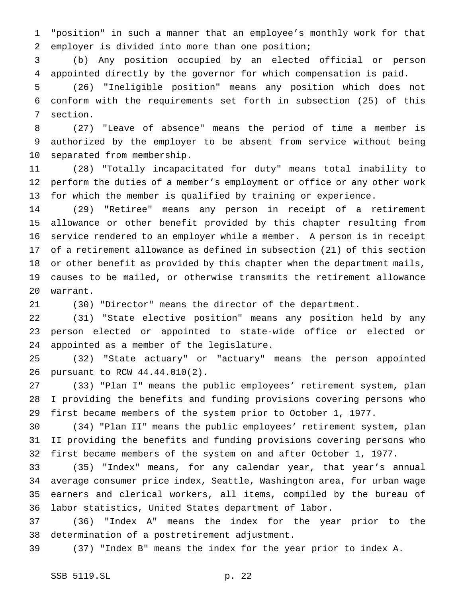"position" in such a manner that an employee's monthly work for that employer is divided into more than one position;

 (b) Any position occupied by an elected official or person appointed directly by the governor for which compensation is paid.

 (26) "Ineligible position" means any position which does not conform with the requirements set forth in subsection (25) of this section.

 (27) "Leave of absence" means the period of time a member is authorized by the employer to be absent from service without being separated from membership.

 (28) "Totally incapacitated for duty" means total inability to perform the duties of a member's employment or office or any other work for which the member is qualified by training or experience.

 (29) "Retiree" means any person in receipt of a retirement allowance or other benefit provided by this chapter resulting from service rendered to an employer while a member. A person is in receipt of a retirement allowance as defined in subsection (21) of this section or other benefit as provided by this chapter when the department mails, causes to be mailed, or otherwise transmits the retirement allowance warrant.

(30) "Director" means the director of the department.

 (31) "State elective position" means any position held by any person elected or appointed to state-wide office or elected or appointed as a member of the legislature.

 (32) "State actuary" or "actuary" means the person appointed pursuant to RCW 44.44.010(2).

 (33) "Plan I" means the public employees' retirement system, plan I providing the benefits and funding provisions covering persons who first became members of the system prior to October 1, 1977.

 (34) "Plan II" means the public employees' retirement system, plan II providing the benefits and funding provisions covering persons who first became members of the system on and after October 1, 1977.

 (35) "Index" means, for any calendar year, that year's annual average consumer price index, Seattle, Washington area, for urban wage earners and clerical workers, all items, compiled by the bureau of labor statistics, United States department of labor.

 (36) "Index A" means the index for the year prior to the determination of a postretirement adjustment.

(37) "Index B" means the index for the year prior to index A.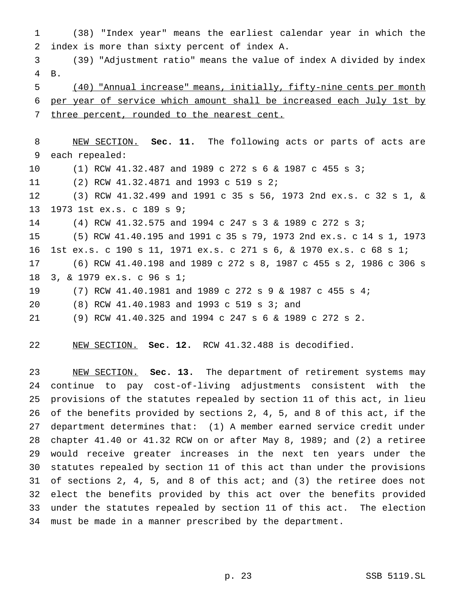(38) "Index year" means the earliest calendar year in which the index is more than sixty percent of index A. (39) "Adjustment ratio" means the value of index A divided by index B. (40) "Annual increase" means, initially, fifty-nine cents per month per year of service which amount shall be increased each July 1st by 7 three percent, rounded to the nearest cent. NEW SECTION. **Sec. 11.** The following acts or parts of acts are each repealed: (1) RCW 41.32.487 and 1989 c 272s6& 1987 c 455 s 3; (2) RCW 41.32.4871 and 1993 c 519 s 2; (3) RCW 41.32.499 and 1991 c 35 s 56, 1973 2nd ex.s. c 32 s 1, & 1973 1st ex.s. c 189 s 9; (4) RCW 41.32.575 and 1994 c 247s3& 1989 c 272 s 3; (5) RCW 41.40.195 and 1991 c 35 s 79, 1973 2nd ex.s. c 14 s 1, 1973 1st ex.s. c 190 s 11, 1971 ex.s. c 271 s 6, & 1970 ex.s. c 68 s 1; (6) RCW 41.40.198 and 1989 c 272 s 8, 1987 c 455 s 2, 1986 c 306 s 3, & 1979 ex.s. c 96 s 1; (7) RCW 41.40.1981 and 1989 c 272s9& 1987 c 455 s 4; (8) RCW 41.40.1983 and 1993 c 519 s 3; and (9) RCW 41.40.325 and 1994 c 247s6& 1989 c 272 s 2.

NEW SECTION. **Sec. 12.** RCW 41.32.488 is decodified.

 NEW SECTION. **Sec. 13.** The department of retirement systems may continue to pay cost-of-living adjustments consistent with the provisions of the statutes repealed by section 11 of this act, in lieu of the benefits provided by sections 2, 4, 5, and 8 of this act, if the department determines that: (1) A member earned service credit under chapter 41.40 or 41.32 RCW on or after May 8, 1989; and (2) a retiree would receive greater increases in the next ten years under the statutes repealed by section 11 of this act than under the provisions of sections 2, 4, 5, and 8 of this act; and (3) the retiree does not elect the benefits provided by this act over the benefits provided under the statutes repealed by section 11 of this act. The election must be made in a manner prescribed by the department.